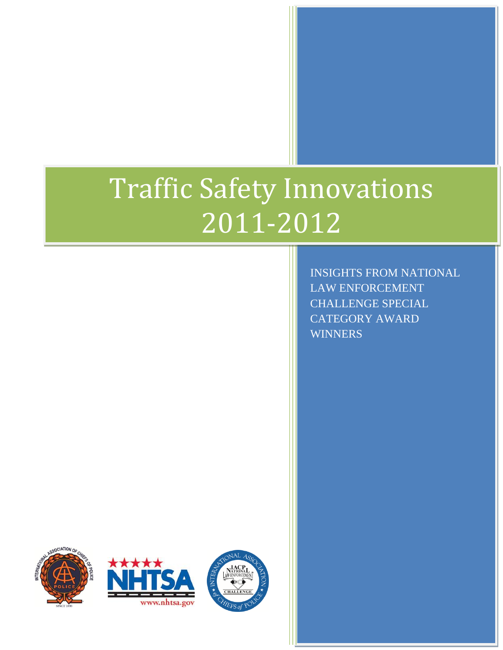# Traffic Safety Innovations 2011-2012

INSIGHTS FROM NATIONAL LAW ENFORCEMENT CHALLENGE SPECIAL CATEGORY AWARD **WINNERS** 





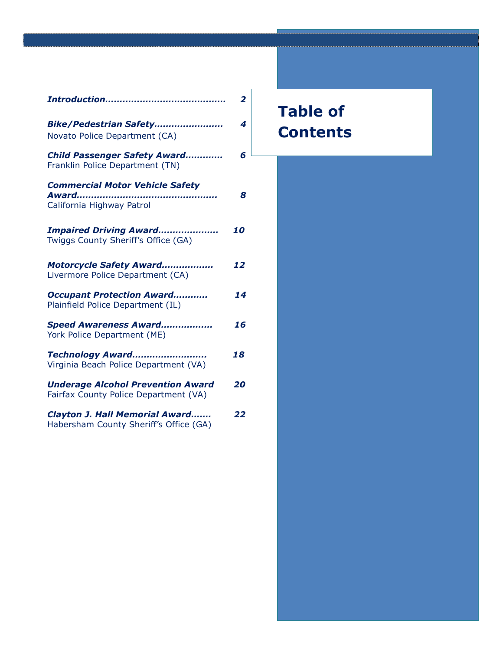|                                                                                   | $\overline{2}$ |
|-----------------------------------------------------------------------------------|----------------|
| Bike/Pedestrian Safety<br>Novato Police Department (CA)                           | 4              |
| <b>Child Passenger Safety Award</b><br>Franklin Police Department (TN)            | 6              |
| <b>Commercial Motor Vehicle Safety</b><br>Award<br>California Highway Patrol      | 8              |
| <b>Impaired Driving Award</b><br>Twiggs County Sheriff's Office (GA)              | 10             |
| Motorcycle Safety Award<br>Livermore Police Department (CA)                       | 12             |
| <b>Occupant Protection Award</b><br>Plainfield Police Department (IL)             | 14             |
| Speed Awareness Award<br>York Police Department (ME)                              | 16             |
| Technology Award<br>Virginia Beach Police Department (VA)                         | 18             |
| <b>Underage Alcohol Prevention Award</b><br>Fairfax County Police Department (VA) | 20             |
| <b>Clayton J. Hall Memorial Award</b><br>Habersham County Sheriff's Office (GA)   | 22             |

# **Table of Contents**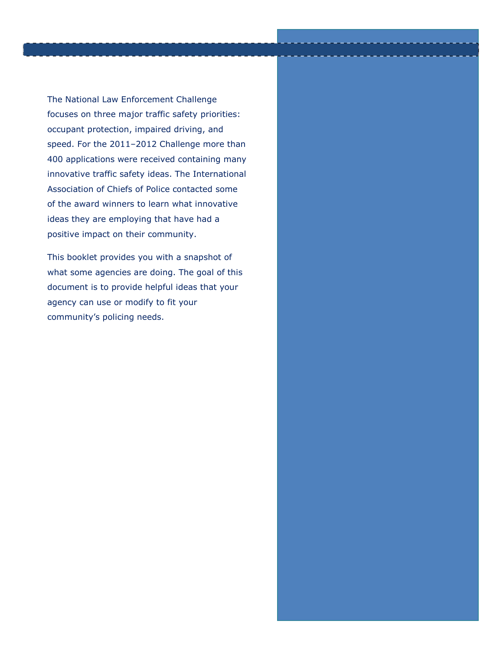The National Law Enforcement Challenge focuses on three major traffic safety priorities: occupant protection, impaired driving, and speed. For the 2011–2012 Challenge more than 400 applications were received containing many innovative traffic safety ideas. The International Association of Chiefs of Police contacted some of the award winners to learn what innovative ideas they are employing that have had a positive impact on their community.

This booklet provides you with a snapshot of what some agencies are doing. The goal of this document is to provide helpful ideas that your agency can use or modify to fit your community's policing needs.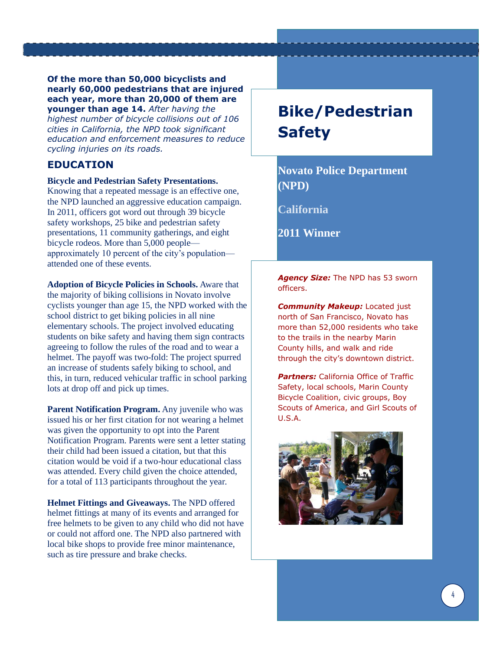**Of the more than 50,000 bicyclists and nearly 60,000 pedestrians that are injured each year, more than 20,000 of them are younger than age 14.** *After having the highest number of bicycle collisions out of 106 cities in California, the NPD took significant education and enforcement measures to reduce cycling injuries on its roads.* 

### **EDUCATION**

### **Bicycle and Pedestrian Safety Presentations.**

Knowing that a repeated message is an effective one, the NPD launched an aggressive education campaign. In 2011, officers got word out through 39 bicycle safety workshops, 25 bike and pedestrian safety presentations, 11 community gatherings, and eight bicycle rodeos. More than 5,000 people approximately 10 percent of the city's population attended one of these events.

**Adoption of Bicycle Policies in Schools.** Aware that the majority of biking collisions in Novato involve cyclists younger than age 15, the NPD worked with the school district to get biking policies in all nine elementary schools. The project involved educating students on bike safety and having them sign contracts agreeing to follow the rules of the road and to wear a helmet. The payoff was two-fold: The project spurred an increase of students safely biking to school, and this, in turn, reduced vehicular traffic in school parking lots at drop off and pick up times.

**Parent Notification Program.** Any juvenile who was issued his or her first citation for not wearing a helmet was given the opportunity to opt into the Parent Notification Program. Parents were sent a letter stating their child had been issued a citation, but that this citation would be void if a two-hour educational class was attended. Every child given the choice attended, for a total of 113 participants throughout the year.

**Helmet Fittings and Giveaways.** The NPD offered helmet fittings at many of its events and arranged for free helmets to be given to any child who did not have or could not afford one. The NPD also partnered with local bike shops to provide free minor maintenance, such as tire pressure and brake checks.

# **Bike/Pedestrian Safety**

**Novato Police Department (NPD)**

**California**

**2011 Winner** 

*Agency Size:* The NPD has 53 sworn officers.

*Community Makeup: Located just* north of San Francisco, Novato has more than 52,000 residents who take to the trails in the nearby Marin County hills, and walk and ride through the city's downtown district.

*Partners:* California Office of Traffic Safety, local schools, Marin County Bicycle Coalition, civic groups, Boy Scouts of America, and Girl Scouts of U.S.A.

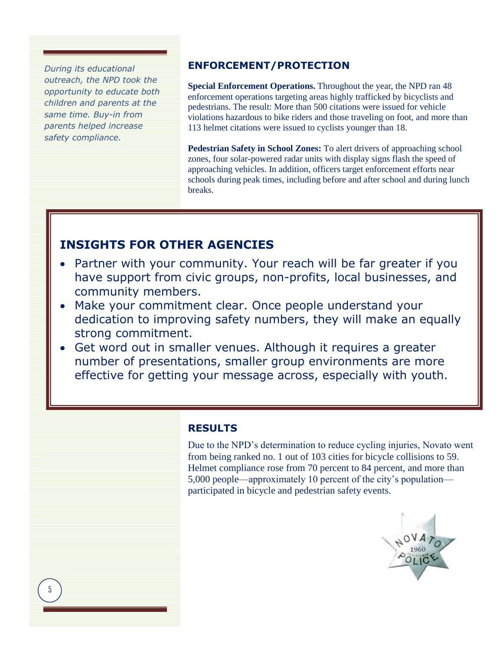*During its educational outreach, the NPD took the opportunity to educate both children and parents at the same time. Buy-in from parents helped increase safety compliance.* 

### **ENFORCEMENT/PROTECTION**

**Special Enforcement Operations.** Throughout the year, the NPD ran 48 enforcement operations targeting areas highly trafficked by bicyclists and pedestrians. The result: More than 500 citations were issued for vehicle violations hazardous to bike riders and those traveling on foot, and more than 113 helmet citations were issued to cyclists younger than 18.

**Pedestrian Safety in School Zones:** To alert drivers of approaching school zones, four solar-powered radar units with display signs flash the speed of approaching vehicles. In addition, officers target enforcement efforts near schools during peak times, including before and after school and during lunch breaks.

### **INSIGHTS FOR OTHER AGENCIES**

- Partner with your community. Your reach will be far greater if you have support from civic groups, non-profits, local businesses, and community members.
- Make your commitment clear. Once people understand your dedication to improving safety numbers, they will make an equally strong commitment.
- Get word out in smaller venues. Although it requires a greater number of presentations, smaller group environments are more effective for getting your message across, especially with youth.

### **RESULTS**

Due to the NPD's determination to reduce cycling injuries, Novato went from being ranked no. 1 out of 103 cities for bicycle collisions to 59. Helmet compliance rose from 70 percent to 84 percent, and more than 5,000 people—approximately 10 percent of the city's population participated in bicycle and pedestrian safety events.

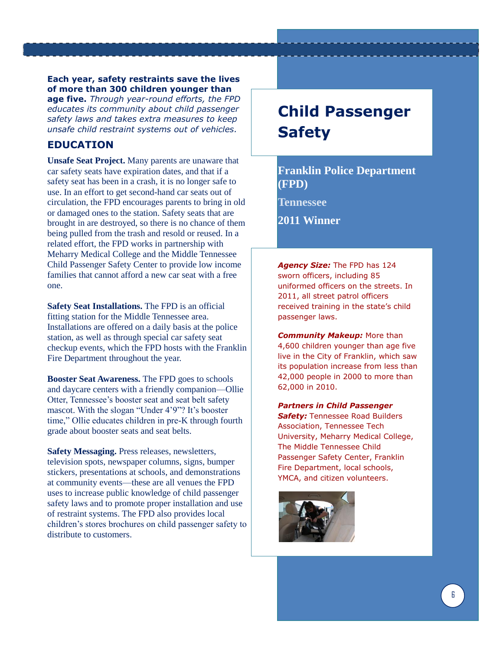### **Each year, safety restraints save the lives of more than 300 children younger than**

**age five.** *Through year-round efforts, the FPD educates its community about child passenger safety laws and takes extra measures to keep unsafe child restraint systems out of vehicles.* 

### **EDUCATION**

**Unsafe Seat Project.** Many parents are unaware that car safety seats have expiration dates, and that if a safety seat has been in a crash, it is no longer safe to use. In an effort to get second-hand car seats out of circulation, the FPD encourages parents to bring in old or damaged ones to the station. Safety seats that are brought in are destroyed, so there is no chance of them being pulled from the trash and resold or reused. In a related effort, the FPD works in partnership with Meharry Medical College and the Middle Tennessee Child Passenger Safety Center to provide low income families that cannot afford a new car seat with a free one.

**Safety Seat Installations.** The FPD is an official fitting station for the Middle Tennessee area. Installations are offered on a daily basis at the police station, as well as through special car safety seat checkup events, which the FPD hosts with the Franklin Fire Department throughout the year.

**Booster Seat Awareness.** The FPD goes to schools and daycare centers with a friendly companion—Ollie Otter, Tennessee's booster seat and seat belt safety mascot. With the slogan "Under 4'9"? It's booster time," Ollie educates children in pre-K through fourth grade about booster seats and seat belts.

**Safety Messaging.** Press releases, newsletters, television spots, newspaper columns, signs, bumper stickers, presentations at schools, and demonstrations at community events—these are all venues the FPD uses to increase public knowledge of child passenger safety laws and to promote proper installation and use of restraint systems. The FPD also provides local children's stores brochures on child passenger safety to distribute to customers.

# **Child Passenger Safety**

**Franklin Police Department (FPD)**

**Tennessee**

**2011 Winner** 

*Agency Size:* The FPD has 124 sworn officers, including 85 uniformed officers on the streets. In 2011, all street patrol officers received training in the state's child passenger laws.

*Community Makeup:* More than 4,600 children younger than age five live in the City of Franklin, which saw its population increase from less than 42,000 people in 2000 to more than 62,000 in 2010.

*Partners in Child Passenger*  **Safety:** Tennessee Road Builders

Association, Tennessee Tech University, Meharry Medical College, The Middle Tennessee Child Passenger Safety Center, Franklin Fire Department, local schools, YMCA, and citizen volunteers.

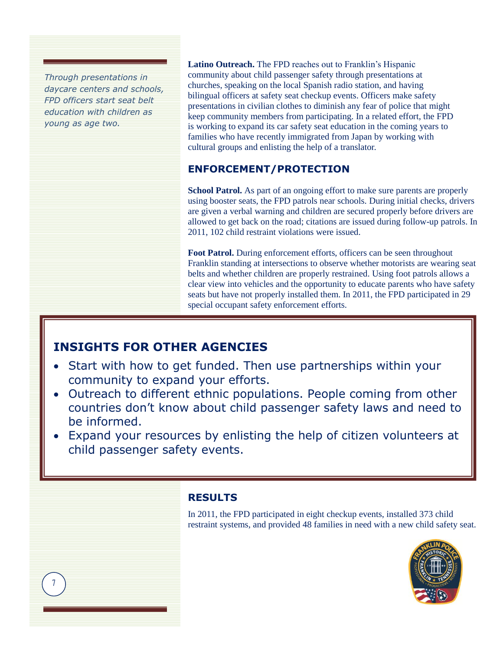*Through presentations in daycare centers and schools, FPD officers start seat belt education with children as young as age two.*

7

**Latino Outreach.** The FPD reaches out to Franklin's Hispanic community about child passenger safety through presentations at churches, speaking on the local Spanish radio station, and having bilingual officers at safety seat checkup events. Officers make safety presentations in civilian clothes to diminish any fear of police that might keep community members from participating. In a related effort, the FPD is working to expand its car safety seat education in the coming years to families who have recently immigrated from Japan by working with cultural groups and enlisting the help of a translator.

### **ENFORCEMENT/PROTECTION**

**School Patrol.** As part of an ongoing effort to make sure parents are properly using booster seats, the FPD patrols near schools. During initial checks, drivers are given a verbal warning and children are secured properly before drivers are allowed to get back on the road; citations are issued during follow-up patrols. In 2011, 102 child restraint violations were issued.

**Foot Patrol.** During enforcement efforts, officers can be seen throughout Franklin standing at intersections to observe whether motorists are wearing seat belts and whether children are properly restrained. Using foot patrols allows a clear view into vehicles and the opportunity to educate parents who have safety seats but have not properly installed them. In 2011, the FPD participated in 29 special occupant safety enforcement efforts.

### **INSIGHTS FOR OTHER AGENCIES**

- Start with how to get funded. Then use partnerships within your community to expand your efforts.
- Outreach to different ethnic populations. People coming from other countries don't know about child passenger safety laws and need to be informed.
- Expand your resources by enlisting the help of citizen volunteers at child passenger safety events.

### **RESULTS**

In 2011, the FPD participated in eight checkup events, installed 373 child restraint systems, and provided 48 families in need with a new child safety seat.

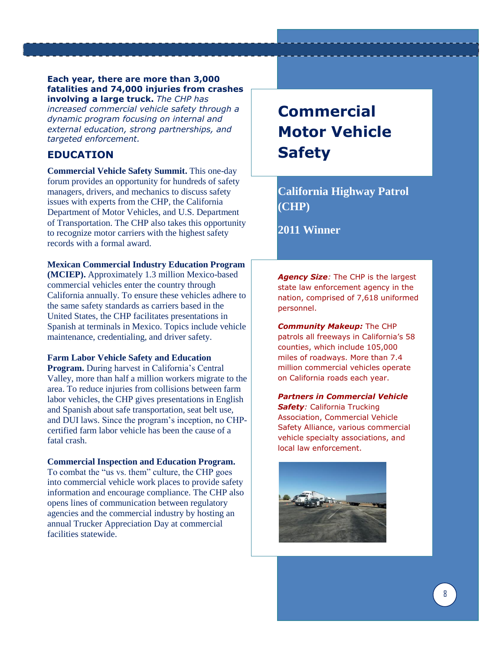#### **Each year, there are more than 3,000 fatalities and 74,000 injuries from crashes involving a large truck.** *The CHP has*

*increased commercial vehicle safety through a dynamic program focusing on internal and external education, strong partnerships, and targeted enforcement.* 

### **EDUCATION**

**Commercial Vehicle Safety Summit.** This one-day forum provides an opportunity for hundreds of safety managers, drivers, and mechanics to discuss safety issues with experts from the CHP, the California Department of Motor Vehicles, and U.S. Department of Transportation. The CHP also takes this opportunity to recognize motor carriers with the highest safety records with a formal award.

#### **Mexican Commercial Industry Education Program**

**(MCIEP).** Approximately 1.3 million Mexico-based commercial vehicles enter the country through California annually. To ensure these vehicles adhere to the same safety standards as carriers based in the United States, the CHP facilitates presentations in Spanish at terminals in Mexico. Topics include vehicle maintenance, credentialing, and driver safety.

#### **Farm Labor Vehicle Safety and Education**

**Program.** During harvest in California's Central Valley, more than half a million workers migrate to the area. To reduce injuries from collisions between farm labor vehicles, the CHP gives presentations in English and Spanish about safe transportation, seat belt use, and DUI laws. Since the program's inception, no CHPcertified farm labor vehicle has been the cause of a fatal crash.

#### **Commercial Inspection and Education Program.**

To combat the "us vs. them" culture, the CHP goes into commercial vehicle work places to provide safety information and encourage compliance. The CHP also opens lines of communication between regulatory agencies and the commercial industry by hosting an annual Trucker Appreciation Day at commercial facilities statewide.

# **Commercial Motor Vehicle Safety**

### **California Highway Patrol (CHP)**

**2011 Winner** 

*Agency Size:* The CHP is the largest state law enforcement agency in the nation, comprised of 7,618 uniformed personnel.

*Community Makeup:* The CHP patrols all freeways in California's 58 counties, which include 105,000 miles of roadways. More than 7.4 million commercial vehicles operate on California roads each year.

*Partners in Commercial Vehicle Safety:* California Trucking Association, Commercial Vehicle Safety Alliance, various commercial vehicle specialty associations, and local law enforcement.

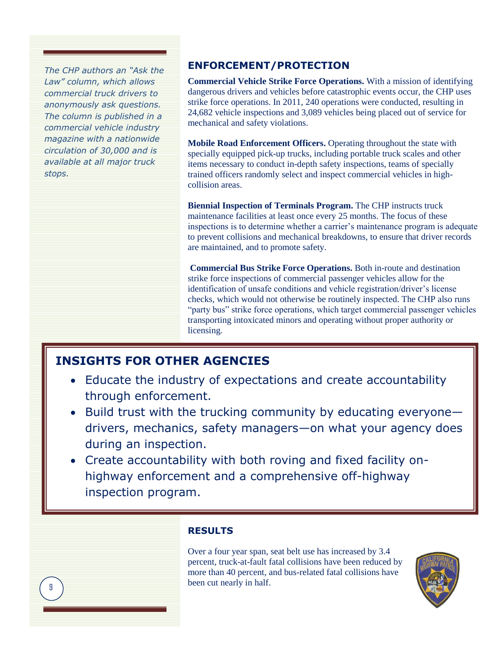*The CHP authors an "Ask the Law" column, which allows commercial truck drivers to anonymously ask questions. The column is published in a commercial vehicle industry magazine with a nationwide circulation of 30,000 and is available at all major truck stops.*

### **ENFORCEMENT/PROTECTION**

**Commercial Vehicle Strike Force Operations.** With a mission of identifying dangerous drivers and vehicles before catastrophic events occur, the CHP uses strike force operations. In 2011, 240 operations were conducted, resulting in 24,682 vehicle inspections and 3,089 vehicles being placed out of service for mechanical and safety violations.

**Mobile Road Enforcement Officers.** Operating throughout the state with specially equipped pick-up trucks, including portable truck scales and other items necessary to conduct in-depth safety inspections, teams of specially trained officers randomly select and inspect commercial vehicles in highcollision areas.

**Biennial Inspection of Terminals Program.** The CHP instructs truck maintenance facilities at least once every 25 months. The focus of these inspections is to determine whether a carrier's maintenance program is adequate to prevent collisions and mechanical breakdowns, to ensure that driver records are maintained, and to promote safety.

**Commercial Bus Strike Force Operations.** Both in-route and destination strike force inspections of commercial passenger vehicles allow for the identification of unsafe conditions and vehicle registration/driver's license checks, which would not otherwise be routinely inspected. The CHP also runs "party bus" strike force operations, which target commercial passenger vehicles transporting intoxicated minors and operating without proper authority or licensing.

### **INSIGHTS FOR OTHER AGENCIES**

- Educate the industry of expectations and create accountability through enforcement.
- Build trust with the trucking community by educating everyonedrivers, mechanics, safety managers—on what your agency does during an inspection.
- Create accountability with both roving and fixed facility onhighway enforcement and a comprehensive off-highway inspection program.

### **RESULTS**

Over a four year span, seat belt use has increased by 3.4 percent, truck-at-fault fatal collisions have been reduced by more than 40 percent, and bus-related fatal collisions have been cut nearly in half.

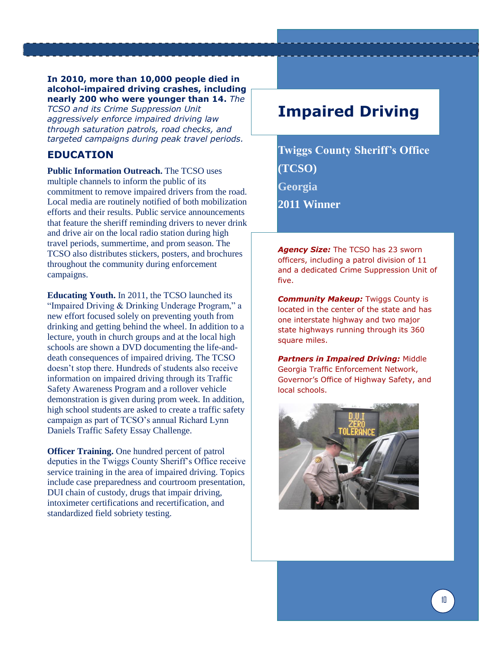#### **In 2010, more than 10,000 people died in alcohol-impaired driving crashes, including nearly 200 who were younger than 14.** *The*

*TCSO and its Crime Suppression Unit aggressively enforce impaired driving law through saturation patrols, road checks, and targeted campaigns during peak travel periods.* 

### **EDUCATION**

**Public Information Outreach.** The TCSO uses multiple channels to inform the public of its commitment to remove impaired drivers from the road. Local media are routinely notified of both mobilization efforts and their results. Public service announcements that feature the sheriff reminding drivers to never drink and drive air on the local radio station during high travel periods, summertime, and prom season. The TCSO also distributes stickers, posters, and brochures throughout the community during enforcement campaigns.

**Educating Youth.** In 2011, the TCSO launched its "Impaired Driving & Drinking Underage Program," a new effort focused solely on preventing youth from drinking and getting behind the wheel. In addition to a lecture, youth in church groups and at the local high schools are shown a DVD documenting the life-anddeath consequences of impaired driving. The TCSO doesn't stop there. Hundreds of students also receive information on impaired driving through its Traffic Safety Awareness Program and a rollover vehicle demonstration is given during prom week. In addition, high school students are asked to create a traffic safety campaign as part of TCSO's annual Richard Lynn Daniels Traffic Safety Essay Challenge.

**Officer Training.** One hundred percent of patrol deputies in the Twiggs County Sheriff's Office receive service training in the area of impaired driving. Topics include case preparedness and courtroom presentation, DUI chain of custody, drugs that impair driving, intoximeter certifications and recertification, and standardized field sobriety testing.

### **Impaired Driving**

**Twiggs County Sheriff's Office (TCSO) Georgia 2011 Winner** 

*Agency Size:* The TCSO has 23 sworn officers, including a patrol division of 11 and a dedicated Crime Suppression Unit of five.

*Community Makeup: Twiggs County is* located in the center of the state and has one interstate highway and two major state highways running through its 360 square miles.

*Partners in Impaired Driving:* Middle Georgia Traffic Enforcement Network, Governor's Office of Highway Safety, and local schools.

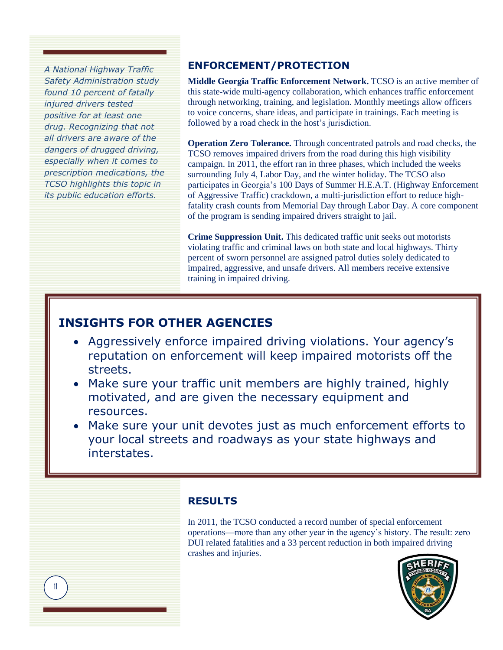*A National Highway Traffic Safety Administration study found 10 percent of fatally injured drivers tested positive for at least one drug. Recognizing that not all drivers are aware of the dangers of drugged driving, especially when it comes to prescription medications, the TCSO highlights this topic in its public education efforts.*

### **ENFORCEMENT/PROTECTION**

**Middle Georgia Traffic Enforcement Network.** TCSO is an active member of this state-wide multi-agency collaboration, which enhances traffic enforcement through networking, training, and legislation. Monthly meetings allow officers to voice concerns, share ideas, and participate in trainings. Each meeting is followed by a road check in the host's jurisdiction.

**Operation Zero Tolerance.** Through concentrated patrols and road checks, the TCSO removes impaired drivers from the road during this high visibility campaign. In 2011, the effort ran in three phases, which included the weeks surrounding July 4, Labor Day, and the winter holiday. The TCSO also participates in Georgia's 100 Days of Summer H.E.A.T. (Highway Enforcement of Aggressive Traffic) crackdown, a multi-jurisdiction effort to reduce highfatality crash counts from Memorial Day through Labor Day. A core component of the program is sending impaired drivers straight to jail.

**Crime Suppression Unit.** This dedicated traffic unit seeks out motorists violating traffic and criminal laws on both state and local highways. Thirty percent of sworn personnel are assigned patrol duties solely dedicated to impaired, aggressive, and unsafe drivers. All members receive extensive training in impaired driving.

### **INSIGHTS FOR OTHER AGENCIES**

- Aggressively enforce impaired driving violations. Your agency's reputation on enforcement will keep impaired motorists off the streets.
- Make sure your traffic unit members are highly trained, highly motivated, and are given the necessary equipment and resources.
- Make sure your unit devotes just as much enforcement efforts to your local streets and roadways as your state highways and interstates.

### **RESULTS**

In 2011, the TCSO conducted a record number of special enforcement operations—more than any other year in the agency's history. The result: zero DUI related fatalities and a 33 percent reduction in both impaired driving crashes and injuries.



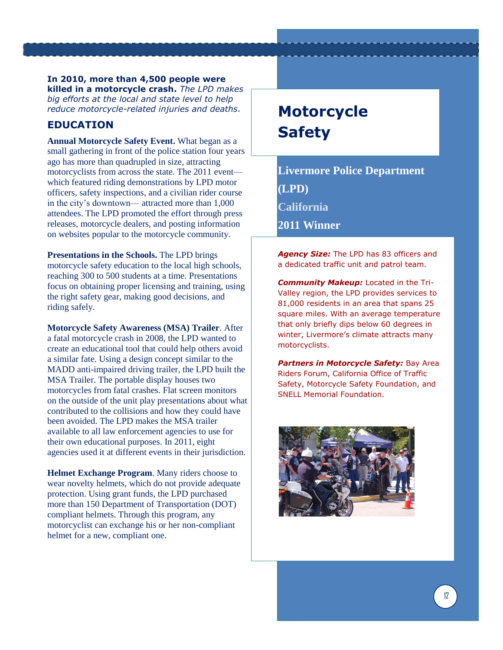**In 2010, more than 4,500 people were killed in a motorcycle crash.** *The LPD makes big efforts at the local and state level to help reduce motorcycle-related injuries and deaths.* 

### **EDUCATION**

**Annual Motorcycle Safety Event.** What began as a small gathering in front of the police station four years ago has more than quadrupled in size, attracting motorcyclists from across the state. The 2011 event which featured riding demonstrations by LPD motor officers, safety inspections, and a civilian rider course in the city's downtown— attracted more than 1,000 attendees. The LPD promoted the effort through press releases, motorcycle dealers, and posting information on websites popular to the motorcycle community.

**Presentations in the Schools.** The LPD brings motorcycle safety education to the local high schools, reaching 300 to 500 students at a time. Presentations focus on obtaining proper licensing and training, using the right safety gear, making good decisions, and riding safely.

**Motorcycle Safety Awareness (MSA) Trailer**. After a fatal motorcycle crash in 2008, the LPD wanted to create an educational tool that could help others avoid a similar fate. Using a design concept similar to the MADD anti-impaired driving trailer, the LPD built the MSA Trailer. The portable display houses two motorcycles from fatal crashes. Flat screen monitors on the outside of the unit play presentations about what contributed to the collisions and how they could have been avoided. The LPD makes the MSA trailer available to all law enforcement agencies to use for their own educational purposes. In 2011, eight agencies used it at different events in their jurisdiction.

**Helmet Exchange Program**. Many riders choose to wear novelty helmets, which do not provide adequate protection. Using grant funds, the LPD purchased more than 150 Department of Transportation (DOT) compliant helmets. Through this program, any motorcyclist can exchange his or her non-compliant helmet for a new, compliant one.

# **Motorcycle Safety**

**Livermore Police Department (LPD) California 2011 Winner** 

*Agency Size:* The LPD has 83 officers and a dedicated traffic unit and patrol team.

*Community Makeup:* Located in the Tri-Valley region, the LPD provides services to 81,000 residents in an area that spans 25 square miles. With an average temperature that only briefly dips below 60 degrees in winter, Livermore's climate attracts many motorcyclists.

*Partners in Motorcycle Safety:* Bay Area Riders Forum, California Office of Traffic Safety, Motorcycle Safety Foundation, and SNELL Memorial Foundation.

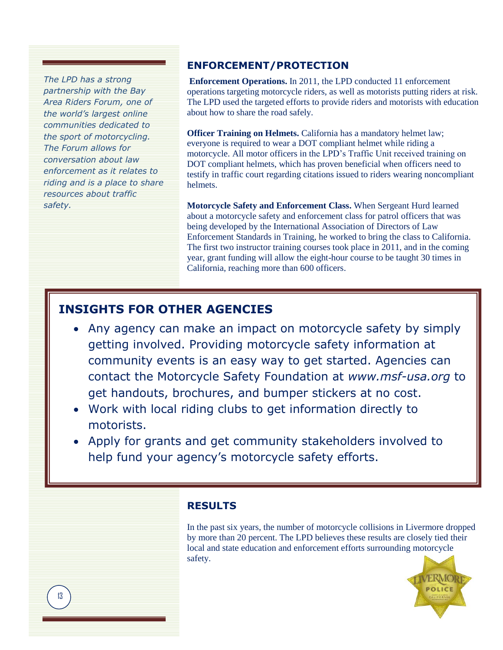*The LPD has a strong partnership with the Bay Area Riders Forum, one of the world's largest online communities dedicated to the sport of motorcycling. The Forum allows for conversation about law enforcement as it relates to riding and is a place to share resources about traffic safety.*

### **ENFORCEMENT/PROTECTION**

**Enforcement Operations.** In 2011, the LPD conducted 11 enforcement operations targeting motorcycle riders, as well as motorists putting riders at risk. The LPD used the targeted efforts to provide riders and motorists with education about how to share the road safely.

**Officer Training on Helmets.** California has a mandatory helmet law; everyone is required to wear a DOT compliant helmet while riding a motorcycle. All motor officers in the LPD's Traffic Unit received training on DOT compliant helmets, which has proven beneficial when officers need to testify in traffic court regarding citations issued to riders wearing noncompliant helmets.

**Motorcycle Safety and Enforcement Class.** When Sergeant Hurd learned about a motorcycle safety and enforcement class for patrol officers that was being developed by the International Association of Directors of Law Enforcement Standards in Training, he worked to bring the class to California. The first two instructor training courses took place in 2011, and in the coming year, grant funding will allow the eight-hour course to be taught 30 times in California, reaching more than 600 officers.

### **INSIGHTS FOR OTHER AGENCIES**

- Any agency can make an impact on motorcycle safety by simply getting involved. Providing motorcycle safety information at community events is an easy way to get started. Agencies can contact the Motorcycle Safety Foundation at *[www.msf-usa.org](http://www.msf-usa.org/)* to get handouts, brochures, and bumper stickers at no cost.
- Work with local riding clubs to get information directly to motorists.
- Apply for grants and get community stakeholders involved to help fund your agency's motorcycle safety efforts.

### **RESULTS**

In the past six years, the number of motorcycle collisions in Livermore dropped by more than 20 percent. The LPD believes these results are closely tied their local and state education and enforcement efforts surrounding motorcycle safety.

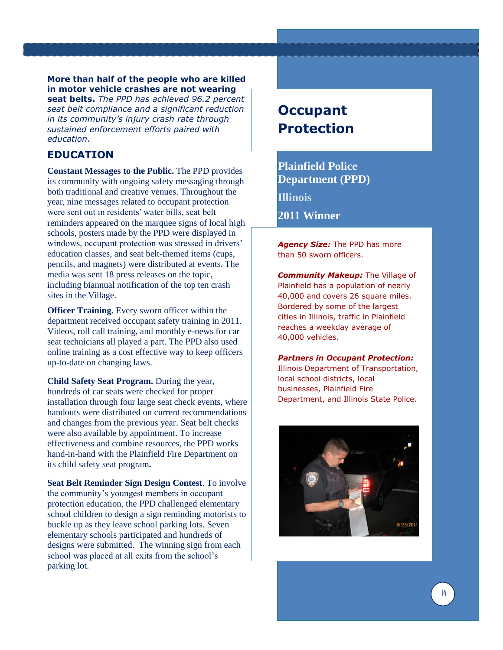**More than half of the people who are killed in motor vehicle crashes are not wearing seat belts.** *The PPD has achieved 96.2 percent seat belt compliance and a significant reduction in its community's injury crash rate through sustained enforcement efforts paired with education.* 

### **EDUCATION**

**Constant Messages to the Public.** The PPD provides its community with ongoing safety messaging through both traditional and creative venues. Throughout the year, nine messages related to occupant protection were sent out in residents' water bills, seat belt reminders appeared on the marquee signs of local high schools, posters made by the PPD were displayed in windows, occupant protection was stressed in drivers' education classes, and seat belt-themed items (cups, pencils, and magnets) were distributed at events. The media was sent 18 press releases on the topic, including biannual notification of the top ten crash sites in the Village.

**Officer Training.** Every sworn officer within the department received occupant safety training in 2011. Videos, roll call training, and monthly e-news for car seat technicians all played a part. The PPD also used online training as a cost effective way to keep officers up-to-date on changing laws.

**Child Safety Seat Program.** During the year, hundreds of car seats were checked for proper installation through four large seat check events, where handouts were distributed on current recommendations and changes from the previous year. Seat belt checks were also available by appointment. To increase effectiveness and combine resources, the PPD works hand-in-hand with the Plainfield Fire Department on its child safety seat program**.**

**Seat Belt Reminder Sign Design Contest**. To involve the community's youngest members in occupant protection education, the PPD challenged elementary school children to design a sign reminding motorists to buckle up as they leave school parking lots. Seven elementary schools participated and hundreds of designs were submitted. The winning sign from each school was placed at all exits from the school's parking lot.

### **Occupant Protection**

**Plainfield Police Department (PPD) Illinois 2011 Winner** 

*Agency Size:* The PPD has more than 50 sworn officers.

*Community Makeup:* The Village of Plainfield has a population of nearly 40,000 and covers 26 square miles. Bordered by some of the largest cities in Illinois, traffic in Plainfield reaches a weekday average of 40,000 vehicles.

#### *Partners in Occupant Protection:*

Illinois Department of Transportation, local school districts, local businesses, Plainfield Fire Department, and Illinois State Police.

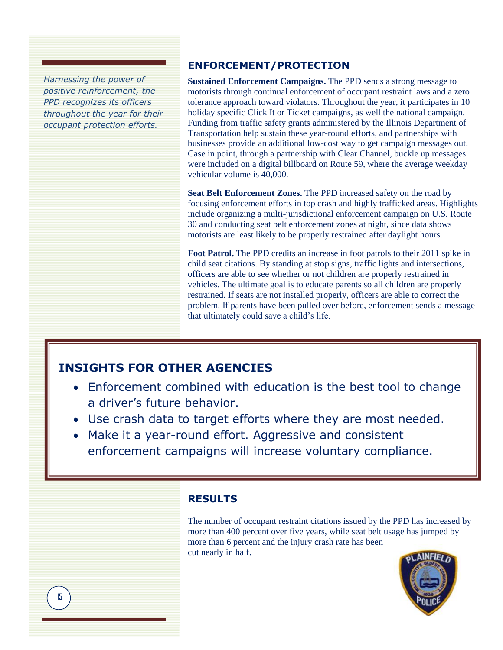*Harnessing the power of Harnessing the power of positive reinforcement, the positive reinforcement, the PPD recognizes its officers PPD recognizes its officers throughout the year for their throughout the year for their occupant protection occupant protection efforts.*

### **ENFORCEMENT/PROTECTION**

**Sustained Enforcement Campaigns.** The PPD sends a strong message to motorists through continual enforcement of occupant restraint laws and a zero tolerance approach toward violators. Throughout the year, it participates in 10 holiday specific Click It or Ticket campaigns, as well the national campaign. Funding from traffic safety grants administered by the Illinois Department of Transportation help sustain these year-round efforts, and partnerships with businesses provide an additional low-cost way to get campaign messages out. Case in point, through a partnership with Clear Channel, buckle up messages were included on a digital billboard on Route 59, where the average weekday vehicular volume is 40,000.

**Seat Belt Enforcement Zones.** The PPD increased safety on the road by focusing enforcement efforts in top crash and highly trafficked areas. Highlights include organizing a multi-jurisdictional enforcement campaign on U.S. Route 30 and conducting seat belt enforcement zones at night, since data shows motorists are least likely to be properly restrained after daylight hours.

**Foot Patrol.** The PPD credits an increase in foot patrols to their 2011 spike in child seat citations. By standing at stop signs, traffic lights and intersections, officers are able to see whether or not children are properly restrained in vehicles. The ultimate goal is to educate parents so all children are properly restrained. If seats are not installed properly, officers are able to correct the problem. If parents have been pulled over before, enforcement sends a message that ultimately could save a child's life.

### **INSIGHTS FOR OTHER AGENCIES**

- Enforcement combined with education is the best tool to change a driver's future behavior.
- Use crash data to target efforts where they are most needed.
- Make it a year-round effort. Aggressive and consistent enforcement campaigns will increase voluntary compliance.

### **RESULTS**

The number of occupant restraint citations issued by the PPD has increased by more than 400 percent over five years, while seat belt usage has jumped by more than 6 percent and the injury crash rate has been cut nearly in half.



 $\overline{a}$ 15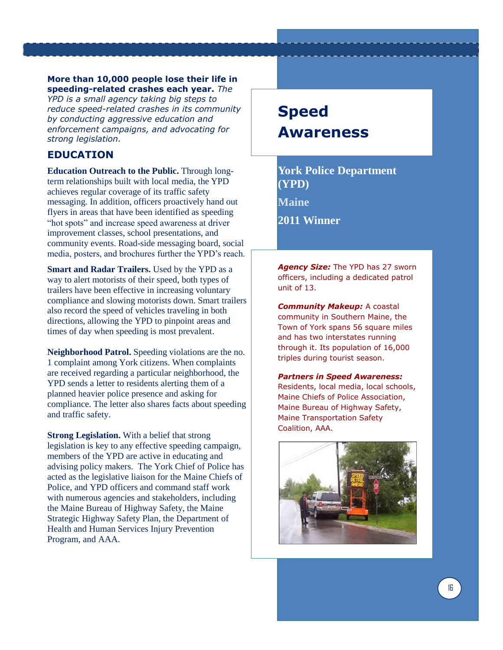#### **More than 10,000 people lose their life in speeding-related crashes each year.** *The*

*YPD is a small agency taking big steps to reduce speed-related crashes in its community by conducting aggressive education and enforcement campaigns, and advocating for strong legislation.* 

### **EDUCATION**

**Education Outreach to the Public.** Through longterm relationships built with local media, the YPD achieves regular coverage of its traffic safety messaging. In addition, officers proactively hand out flyers in areas that have been identified as speeding "hot spots" and increase speed awareness at driver improvement classes, school presentations, and community events. Road-side messaging board, social media, posters, and brochures further the YPD's reach.

**Smart and Radar Trailers.** Used by the YPD as a way to alert motorists of their speed, both types of trailers have been effective in increasing voluntary compliance and slowing motorists down. Smart trailers also record the speed of vehicles traveling in both directions, allowing the YPD to pinpoint areas and times of day when speeding is most prevalent.

**Neighborhood Patrol.** Speeding violations are the no. 1 complaint among York citizens. When complaints are received regarding a particular neighborhood, the YPD sends a letter to residents alerting them of a planned heavier police presence and asking for compliance. The letter also shares facts about speeding and traffic safety.

**Strong Legislation.** With a belief that strong legislation is key to any effective speeding campaign, members of the YPD are active in educating and advising policy makers. The York Chief of Police has acted as the legislative liaison for the Maine Chiefs of Police, and YPD officers and command staff work with numerous agencies and stakeholders, including the Maine Bureau of Highway Safety, the Maine Strategic Highway Safety Plan, the Department of Health and Human Services Injury Prevention Program, and AAA.

# **Speed Awareness**

**York Police Department (YPD) Maine 2011 Winner** 

*Agency Size:* The YPD has 27 sworn officers, including a dedicated patrol unit of 13.

*Community Makeup:* A coastal community in Southern Maine, the Town of York spans 56 square miles and has two interstates running through it. Its population of 16,000 triples during tourist season.

*Partners in Speed Awareness:* Residents, local media, local schools, Maine Chiefs of Police Association, Maine Bureau of Highway Safety, Maine Transportation Safety Coalition, AAA.

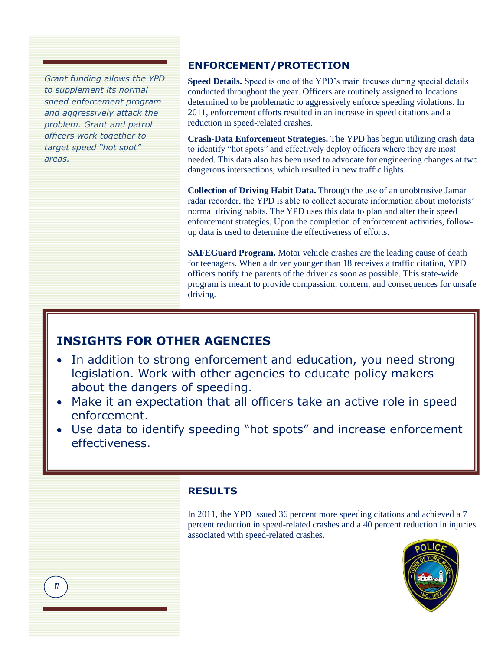*Grant funding allows the YPD positive reinforcement, the to supplement its normal PPD recognizes its officers speed enforcement program throughout the year for their and aggressively attack the occupant protection efforts. problem. Grant and patrol officers work together to target speed "hot spot" areas.*

### **ENFORCEMENT/PROTECTION**

**Speed Details.** Speed is one of the YPD's main focuses during special details conducted throughout the year. Officers are routinely assigned to locations determined to be problematic to aggressively enforce speeding violations. In 2011, enforcement efforts resulted in an increase in speed citations and a reduction in speed-related crashes.

**Crash-Data Enforcement Strategies.** The YPD has begun utilizing crash data to identify "hot spots" and effectively deploy officers where they are most needed. This data also has been used to advocate for engineering changes at two dangerous intersections, which resulted in new traffic lights.

**Collection of Driving Habit Data.** Through the use of an unobtrusive Jamar radar recorder, the YPD is able to collect accurate information about motorists' normal driving habits. The YPD uses this data to plan and alter their speed enforcement strategies. Upon the completion of enforcement activities, followup data is used to determine the effectiveness of efforts.

**SAFEGuard Program.** Motor vehicle crashes are the leading cause of death for teenagers. When a driver younger than 18 receives a traffic citation, YPD officers notify the parents of the driver as soon as possible. This state-wide program is meant to provide compassion, concern, and consequences for unsafe driving.

### **INSIGHTS FOR OTHER AGENCIES**

- In addition to strong enforcement and education, you need strong legislation. Work with other agencies to educate policy makers about the dangers of speeding.
- Make it an expectation that all officers take an active role in speed enforcement.
- Use data to identify speeding "hot spots" and increase enforcement effectiveness.

### **RESULTS**

In 2011, the YPD issued 36 percent more speeding citations and achieved a 7 percent reduction in speed-related crashes and a 40 percent reduction in injuries associated with speed-related crashes.



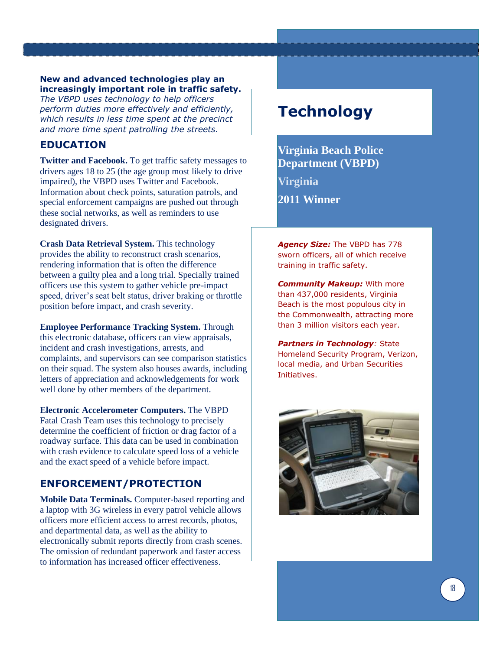#### **New and advanced technologies play an increasingly important role in traffic safety.**

*The VBPD uses technology to help officers perform duties more effectively and efficiently, which results in less time spent at the precinct and more time spent patrolling the streets.* 

### **EDUCATION**

**Twitter and Facebook.** To get traffic safety messages to drivers ages 18 to 25 (the age group most likely to drive impaired), the VBPD uses Twitter and Facebook. Information about check points, saturation patrols, and special enforcement campaigns are pushed out through these social networks, as well as reminders to use designated drivers.

**Crash Data Retrieval System.** This technology provides the ability to reconstruct crash scenarios, rendering information that is often the difference between a guilty plea and a long trial. Specially trained officers use this system to gather vehicle pre-impact speed, driver's seat belt status, driver braking or throttle position before impact, and crash severity.

**Employee Performance Tracking System.** Through this electronic database, officers can view appraisals, incident and crash investigations, arrests, and complaints, and supervisors can see comparison statistics on their squad. The system also houses awards, including letters of appreciation and acknowledgements for work well done by other members of the department.

**Electronic Accelerometer Computers.** The VBPD Fatal Crash Team uses this technology to precisely determine the coefficient of friction or drag factor of a roadway surface. This data can be used in combination with crash evidence to calculate speed loss of a vehicle and the exact speed of a vehicle before impact.

### **ENFORCEMENT/PROTECTION**

**Mobile Data Terminals.** Computer-based reporting and a laptop with 3G wireless in every patrol vehicle allows officers more efficient access to arrest records, photos, and departmental data, as well as the ability to electronically submit reports directly from crash scenes. The omission of redundant paperwork and faster access to information has increased officer effectiveness.

### **Technology**

**Virginia Beach Police Department (VBPD) Virginia 2011 Winner** 

*Agency Size:* The VBPD has 778 sworn officers, all of which receive training in traffic safety.

*Community Makeup:* With more than 437,000 residents, Virginia Beach is the most populous city in the Commonwealth, attracting more than 3 million visitors each year.

*Partners in Technology:* State Homeland Security Program, Verizon, local media, and Urban Securities Initiatives.

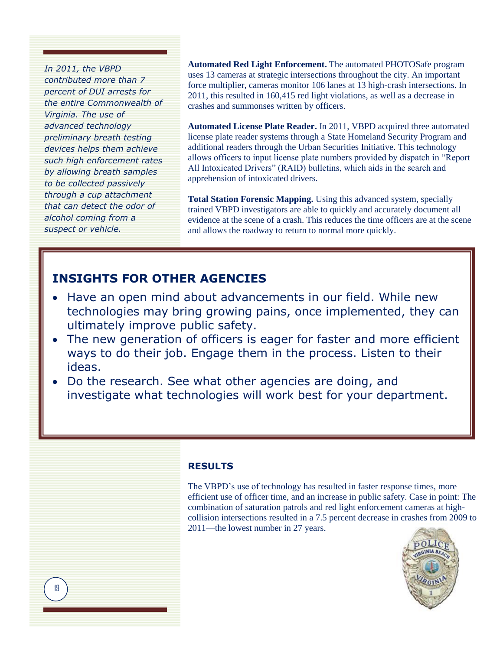*In 2011, the VBPD contributed more than 7 percent of DUI arrests for the entire Commonwealth of Virginia. The use of advanced technology preliminary breath testing devices helps them achieve such high enforcement rates by allowing breath samples to be collected passively through a cup attachment that can detect the odor of alcohol coming from a suspect or vehicle.*

**Automated Red Light Enforcement.** The automated PHOTOSafe program uses 13 cameras at strategic intersections throughout the city. An important force multiplier, cameras monitor 106 lanes at 13 high-crash intersections. In 2011, this resulted in 160,415 red light violations, as well as a decrease in crashes and summonses written by officers.

**Automated License Plate Reader.** In 2011, VBPD acquired three automated license plate reader systems through a State Homeland Security Program and additional readers through the Urban Securities Initiative. This technology allows officers to input license plate numbers provided by dispatch in "Report All Intoxicated Drivers" (RAID) bulletins, which aids in the search and apprehension of intoxicated drivers.

**Total Station Forensic Mapping.** Using this advanced system, specially trained VBPD investigators are able to quickly and accurately document all evidence at the scene of a crash. This reduces the time officers are at the scene and allows the roadway to return to normal more quickly.

### **INSIGHTS FOR OTHER AGENCIES**

- Have an open mind about advancements in our field. While new technologies may bring growing pains, once implemented, they can ultimately improve public safety.
- The new generation of officers is eager for faster and more efficient ways to do their job. Engage them in the process. Listen to their ideas.
- Do the research. See what other agencies are doing, and investigate what technologies will work best for your department.

### **RESULTS**

The VBPD's use of technology has resulted in faster response times, more efficient use of officer time, and an increase in public safety. Case in point: The combination of saturation patrols and red light enforcement cameras at highcollision intersections resulted in a 7.5 percent decrease in crashes from 2009 to 2011—the lowest number in 27 years.

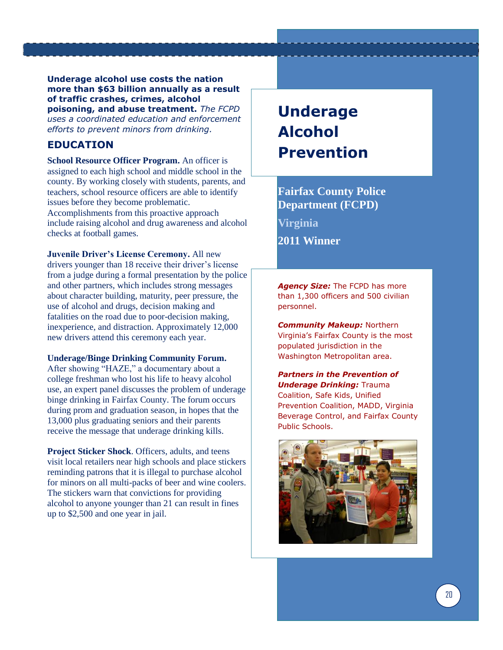**Underage alcohol use costs the nation more than \$63 billion annually as a result of traffic crashes, crimes, alcohol poisoning, and abuse treatment.** *The FCPD uses a coordinated education and enforcement efforts to prevent minors from drinking.* 

### **EDUCATION**

**School Resource Officer Program.** An officer is assigned to each high school and middle school in the county. By working closely with students, parents, and teachers, school resource officers are able to identify issues before they become problematic. Accomplishments from this proactive approach include raising alcohol and drug awareness and alcohol checks at football games.

**Juvenile Driver's License Ceremony.** All new drivers younger than 18 receive their driver's license from a judge during a formal presentation by the police and other partners, which includes strong messages about character building, maturity, peer pressure, the use of alcohol and drugs, decision making and fatalities on the road due to poor-decision making, inexperience, and distraction. Approximately 12,000 new drivers attend this ceremony each year.

#### **Underage/Binge Drinking Community Forum.**

After showing "HAZE," a documentary about a college freshman who lost his life to heavy alcohol use, an expert panel discusses the problem of underage binge drinking in Fairfax County. The forum occurs during prom and graduation season, in hopes that the 13,000 plus graduating seniors and their parents receive the message that underage drinking kills.

**Project Sticker Shock**. Officers, adults, and teens visit local retailers near high schools and place stickers reminding patrons that it is illegal to purchase alcohol for minors on all multi-packs of beer and wine coolers. The stickers warn that convictions for providing alcohol to anyone younger than 21 can result in fines up to \$2,500 and one year in jail.

# **Underage Alcohol Prevention**

**Fairfax County Police Department (FCPD) Virginia**

**2011 Winner** 

*Agency Size:* The FCPD has more than 1,300 officers and 500 civilian personnel.

*Community Makeup:* Northern Virginia's Fairfax County is the most populated jurisdiction in the Washington Metropolitan area.

*Partners in the Prevention of Underage Drinking:* Trauma Coalition, Safe Kids, Unified Prevention Coalition, MADD, Virginia Beverage Control, and Fairfax County Public Schools.

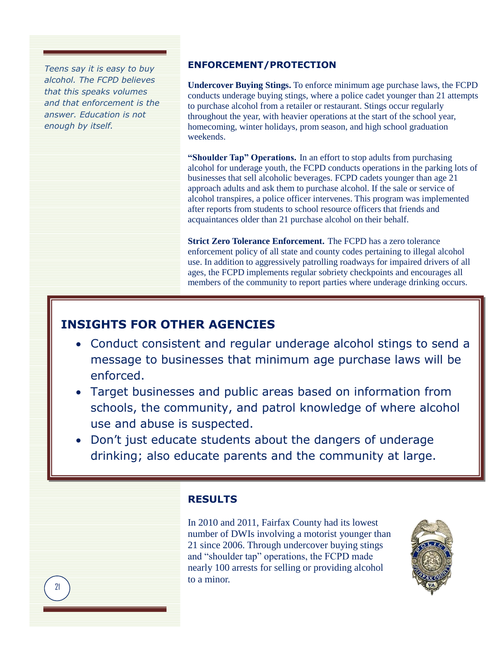*Teens say it is easy to buy alcohol. The FCPD believes that this speaks volumes and that enforcement is the answer. Education is not enough by itself.* 

### **ENFORCEMENT/PROTECTION**

**Undercover Buying Stings.** To enforce minimum age purchase laws, the FCPD conducts underage buying stings, where a police cadet younger than 21 attempts to purchase alcohol from a retailer or restaurant. Stings occur regularly throughout the year, with heavier operations at the start of the school year, homecoming, winter holidays, prom season, and high school graduation weekends.

**"Shoulder Tap" Operations.** In an effort to stop adults from purchasing alcohol for underage youth, the FCPD conducts operations in the parking lots of businesses that sell alcoholic beverages. FCPD cadets younger than age 21 approach adults and ask them to purchase alcohol. If the sale or service of alcohol transpires, a police officer intervenes. This program was implemented after reports from students to school resource officers that friends and acquaintances older than 21 purchase alcohol on their behalf.

**Strict Zero Tolerance Enforcement.** The FCPD has a zero tolerance enforcement policy of all state and county codes pertaining to illegal alcohol use. In addition to aggressively patrolling roadways for impaired drivers of all ages, the FCPD implements regular sobriety checkpoints and encourages all members of the community to report parties where underage drinking occurs.

### **INSIGHTS FOR OTHER AGENCIES**

- Conduct consistent and regular underage alcohol stings to send a message to businesses that minimum age purchase laws will be enforced.
- Target businesses and public areas based on information from schools, the community, and patrol knowledge of where alcohol use and abuse is suspected.
- Don't just educate students about the dangers of underage drinking; also educate parents and the community at large.

### **RESULTS**

In 2010 and 2011, Fairfax County had its lowest number of DWIs involving a motorist younger than 21 since 2006. Through undercover buying stings and "shoulder tap" operations, the FCPD made nearly 100 arrests for selling or providing alcohol to a minor.

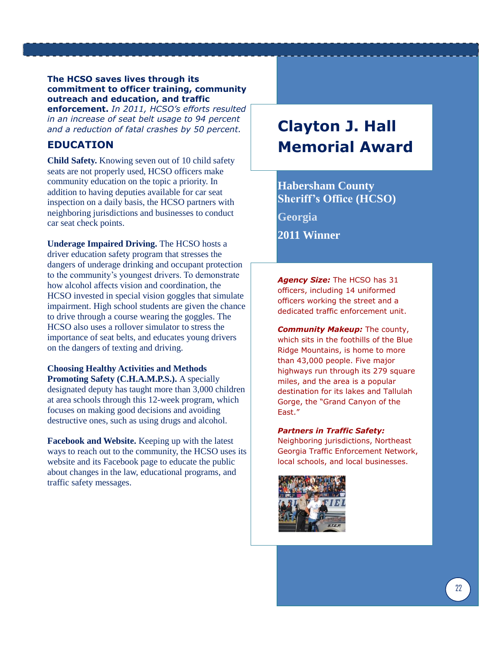### **The HCSO saves lives through its commitment to officer training, community outreach and education, and traffic enforcement.** *In 2011, HCSO's efforts resulted*

*in an increase of seat belt usage to 94 percent and a reduction of fatal crashes by 50 percent.* 

### **EDUCATION**

**Child Safety.** Knowing seven out of 10 child safety seats are not properly used, HCSO officers make community education on the topic a priority. In addition to having deputies available for car seat inspection on a daily basis, the HCSO partners with neighboring jurisdictions and businesses to conduct car seat check points.

**Underage Impaired Driving.** The HCSO hosts a driver education safety program that stresses the dangers of underage drinking and occupant protection to the community's youngest drivers. To demonstrate how alcohol affects vision and coordination, the HCSO invested in special vision goggles that simulate impairment. High school students are given the chance to drive through a course wearing the goggles. The HCSO also uses a rollover simulator to stress the importance of seat belts, and educates young drivers on the dangers of texting and driving.

#### **Choosing Healthy Activities and Methods Promoting Safety (C.H.A.M.P.S.).** A specially designated deputy has taught more than 3,000 children at area schools through this 12-week program, which focuses on making good decisions and avoiding destructive ones, such as using drugs and alcohol.

**Facebook and Website.** Keeping up with the latest ways to reach out to the community, the HCSO uses its website and its Facebook page to educate the public about changes in the law, educational programs, and traffic safety messages.

# **Clayton J. Hall Memorial Award**

### **Habersham County Sheriff's Office (HCSO)**

**Georgia**

**2011 Winner** 

*Agency Size:* The HCSO has 31 officers, including 14 uniformed officers working the street and a dedicated traffic enforcement unit.

*Community Makeup:* The county, which sits in the foothills of the Blue Ridge Mountains, is home to more than 43,000 people. Five major highways run through its 279 square miles, and the area is a popular destination for its lakes and Tallulah Gorge, the "Grand Canyon of the East."

### *Partners in Traffic Safety:*

Neighboring jurisdictions, Northeast Georgia Traffic Enforcement Network, local schools, and local businesses.